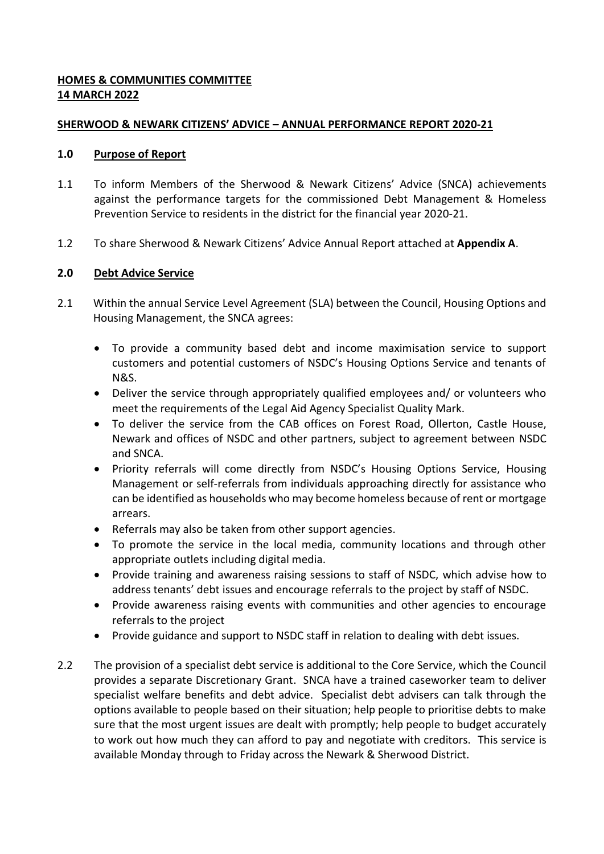# **HOMES & COMMUNITIES COMMITTEE 14 MARCH 2022**

### **SHERWOOD & NEWARK CITIZENS' ADVICE – ANNUAL PERFORMANCE REPORT 2020-21**

#### **1.0 Purpose of Report**

- 1.1 To inform Members of the Sherwood & Newark Citizens' Advice (SNCA) achievements against the performance targets for the commissioned Debt Management & Homeless Prevention Service to residents in the district for the financial year 2020-21.
- 1.2 To share Sherwood & Newark Citizens' Advice Annual Report attached at **Appendix A**.

## **2.0 Debt Advice Service**

- 2.1 Within the annual Service Level Agreement (SLA) between the Council, Housing Options and Housing Management, the SNCA agrees:
	- To provide a community based debt and income maximisation service to support customers and potential customers of NSDC's Housing Options Service and tenants of N&S.
	- Deliver the service through appropriately qualified employees and/ or volunteers who meet the requirements of the Legal Aid Agency Specialist Quality Mark.
	- To deliver the service from the CAB offices on Forest Road, Ollerton, Castle House, Newark and offices of NSDC and other partners, subject to agreement between NSDC and SNCA.
	- Priority referrals will come directly from NSDC's Housing Options Service, Housing Management or self-referrals from individuals approaching directly for assistance who can be identified as households who may become homeless because of rent or mortgage arrears.
	- Referrals may also be taken from other support agencies.
	- To promote the service in the local media, community locations and through other appropriate outlets including digital media.
	- Provide training and awareness raising sessions to staff of NSDC, which advise how to address tenants' debt issues and encourage referrals to the project by staff of NSDC.
	- Provide awareness raising events with communities and other agencies to encourage referrals to the project
	- Provide guidance and support to NSDC staff in relation to dealing with debt issues.
- 2.2 The provision of a specialist debt service is additional to the Core Service, which the Council provides a separate Discretionary Grant. SNCA have a trained caseworker team to deliver specialist welfare benefits and debt advice. Specialist debt advisers can talk through the options available to people based on their situation; help people to prioritise debts to make sure that the most urgent issues are dealt with promptly; help people to budget accurately to work out how much they can afford to pay and negotiate with creditors. This service is available Monday through to Friday across the Newark & Sherwood District.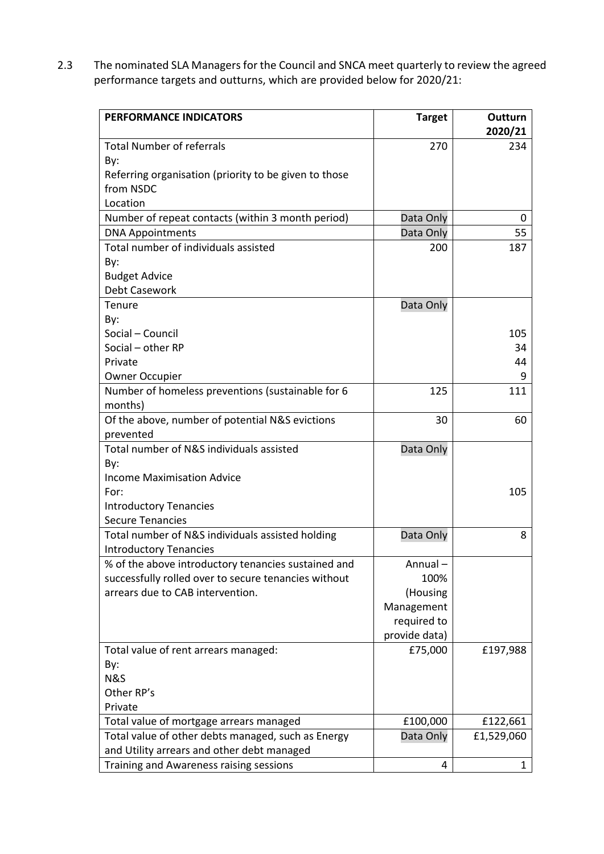2.3 The nominated SLA Managers for the Council and SNCA meet quarterly to review the agreed performance targets and outturns, which are provided below for 2020/21:

| <b>PERFORMANCE INDICATORS</b>                         | <b>Target</b> | Outturn        |
|-------------------------------------------------------|---------------|----------------|
| <b>Total Number of referrals</b>                      | 270           | 2020/21<br>234 |
| By:                                                   |               |                |
| Referring organisation (priority to be given to those |               |                |
| from NSDC                                             |               |                |
| Location                                              |               |                |
| Number of repeat contacts (within 3 month period)     | Data Only     | 0              |
| <b>DNA Appointments</b>                               | Data Only     | 55             |
| Total number of individuals assisted                  | 200           | 187            |
| By:                                                   |               |                |
| <b>Budget Advice</b>                                  |               |                |
| Debt Casework                                         |               |                |
| Tenure                                                | Data Only     |                |
| By:                                                   |               |                |
| Social - Council                                      |               | 105            |
| Social - other RP                                     |               | 34             |
| Private                                               |               | 44             |
| <b>Owner Occupier</b>                                 |               |                |
| Number of homeless preventions (sustainable for 6     | 125           | 111            |
| months)                                               |               |                |
| Of the above, number of potential N&S evictions       | 30            | 60             |
| prevented                                             |               |                |
| Total number of N&S individuals assisted              | Data Only     |                |
| By:                                                   |               |                |
| <b>Income Maximisation Advice</b>                     |               |                |
| For:                                                  |               | 105            |
| <b>Introductory Tenancies</b>                         |               |                |
| <b>Secure Tenancies</b>                               |               |                |
| Total number of N&S individuals assisted holding      | Data Only     | 8              |
| <b>Introductory Tenancies</b>                         |               |                |
| % of the above introductory tenancies sustained and   | Annual-       |                |
| successfully rolled over to secure tenancies without  | 100%          |                |
| arrears due to CAB intervention.                      | (Housing      |                |
|                                                       | Management    |                |
|                                                       | required to   |                |
|                                                       | provide data) |                |
| Total value of rent arrears managed:                  | £75,000       | £197,988       |
| By:                                                   |               |                |
| N&S                                                   |               |                |
| Other RP's                                            |               |                |
| Private                                               |               |                |
| Total value of mortgage arrears managed               | £100,000      | £122,661       |
| Total value of other debts managed, such as Energy    | Data Only     | £1,529,060     |
| and Utility arrears and other debt managed            |               |                |
| Training and Awareness raising sessions               | 4             | 1              |